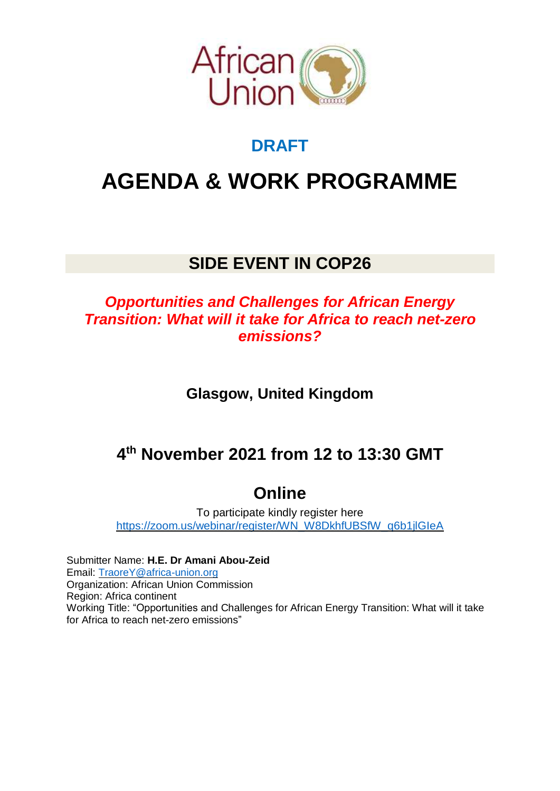

### **DRAFT**

# **AGENDA & WORK PROGRAMME**

### **SIDE EVENT IN COP26**

#### *Opportunities and Challenges for African Energy Transition: What will it take for Africa to reach net-zero emissions?*

**Glasgow, United Kingdom**

## **4 th November 2021 from 12 to 13:30 GMT**

## **Online**

To participate kindly register here [https://zoom.us/webinar/register/WN\\_W8DkhfUBSfW\\_q6b1jlGIeA](https://zoom.us/webinar/register/WN_W8DkhfUBSfW_q6b1jlGIeA)

Submitter Name: **H.E. Dr Amani Abou-Zeid** Email: [TraoreY@africa-union.org](mailto:TraoreY@africa-union.org) Organization: African Union Commission Region: Africa continent Working Title: "Opportunities and Challenges for African Energy Transition: What will it take for Africa to reach net-zero emissions"